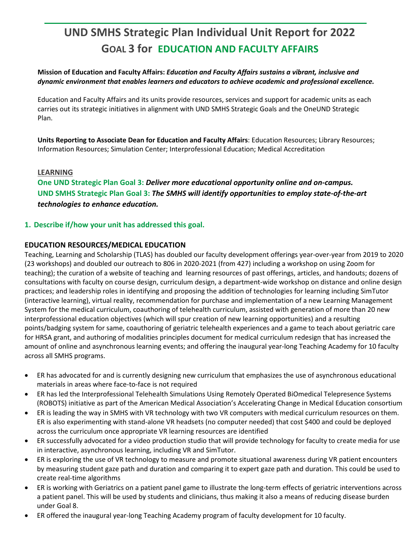# **UND SMHS Strategic Plan Individual Unit Report for 2022 GOAL 3 for EDUCATION AND FACULTY AFFAIRS**

# **Mission of Education and Faculty Affairs:** *Education and Faculty Affairs sustains a vibrant, inclusive and dynamic environment that enables learners and educators to achieve academic and professional excellence.*

Education and Faculty Affairs and its units provide resources, services and support for academic units as each carries out its strategic initiatives in alignment with UND SMHS Strategic Goals and the OneUND Strategic Plan.

**Units Reporting to Associate Dean for Education and Faculty Affairs**: Education Resources; Library Resources; Information Resources; Simulation Center; Interprofessional Education; Medical Accreditation

# **LEARNING**

**One UND Strategic Plan Goal 3:** *Deliver more educational opportunity online and on-campus.* **UND SMHS Strategic Plan Goal 3:** *The SMHS will identify opportunities to employ state-of-the-art technologies to enhance education.*

# **1. Describe if/how your unit has addressed this goal.**

# **EDUCATION RESOURCES/MEDICAL EDUCATION**

Teaching, Learning and Scholarship (TLAS) has doubled our faculty development offerings year-over-year from 2019 to 2020 (23 workshops) and doubled our outreach to 806 in 2020-2021 (from 427) including a workshop on using Zoom for teaching); the curation of a website of teaching and learning resources of past offerings, articles, and handouts; dozens of consultations with faculty on course design, curriculum design, a department-wide workshop on distance and online design practices; and leadership roles in identifying and proposing the addition of technologies for learning including SimTutor (interactive learning), virtual reality, recommendation for purchase and implementation of a new Learning Management System for the medical curriculum, coauthoring of telehealth curriculum, assisted with generation of more than 20 new interprofessional education objectives (which will spur creation of new learning opportunities) and a resulting points/badging system for same, coauthoring of geriatric telehealth experiences and a game to teach about geriatric care for HRSA grant, and authoring of modalities principles document for medical curriculum redesign that has increased the amount of online and asynchronous learning events; and offering the inaugural year-long Teaching Academy for 10 faculty across all SMHS programs.

- ER has advocated for and is currently designing new curriculum that emphasizes the use of asynchronous educational materials in areas where face-to-face is not required
- ER has led the Interprofessional Telehealth Simulations Using Remotely Operated BiOmedical Telepresence Systems (ROBOTS) initiative as part of the American Medical Association's Accelerating Change in Medical Education consortium
- ER is leading the way in SMHS with VR technology with two VR computers with medical curriculum resources on them. ER is also experimenting with stand-alone VR headsets (no computer needed) that cost \$400 and could be deployed across the curriculum once appropriate VR learning resources are identified
- ER successfully advocated for a video production studio that will provide technology for faculty to create media for use in interactive, asynchronous learning, including VR and SimTutor.
- ER is exploring the use of VR technology to measure and promote situational awareness during VR patient encounters by measuring student gaze path and duration and comparing it to expert gaze path and duration. This could be used to create real-time algorithms
- ER is working with Geriatrics on a patient panel game to illustrate the long-term effects of geriatric interventions across a patient panel. This will be used by students and clinicians, thus making it also a means of reducing disease burden under Goal 8.
- ER offered the inaugural year-long Teaching Academy program of faculty development for 10 faculty.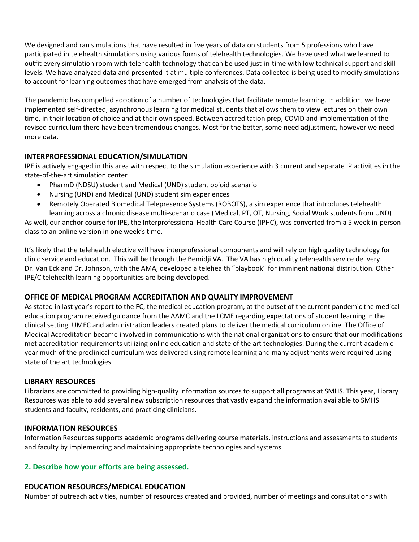We designed and ran simulations that have resulted in five years of data on students from 5 professions who have participated in telehealth simulations using various forms of telehealth technologies. We have used what we learned to outfit every simulation room with telehealth technology that can be used just-in-time with low technical support and skill levels. We have analyzed data and presented it at multiple conferences. Data collected is being used to modify simulations to account for learning outcomes that have emerged from analysis of the data.

The pandemic has compelled adoption of a number of technologies that facilitate remote learning. In addition, we have implemented self-directed, asynchronous learning for medical students that allows them to view lectures on their own time, in their location of choice and at their own speed. Between accreditation prep, COVID and implementation of the revised curriculum there have been tremendous changes. Most for the better, some need adjustment, however we need more data.

# **INTERPROFESSIONAL EDUCATION/SIMULATION**

IPE is actively engaged in this area with respect to the simulation experience with 3 current and separate IP activities in the state-of-the-art simulation center

- PharmD (NDSU) student and Medical (UND) student opioid scenario
- Nursing (UND) and Medical (UND) student sim experiences
- Remotely Operated Biomedical Telepresence Systems (ROBOTS), a sim experience that introduces telehealth learning across a chronic disease multi-scenario case (Medical, PT, OT, Nursing, Social Work students from UND)

As well, our anchor course for IPE, the Interprofessional Health Care Course (IPHC), was converted from a 5 week in-person class to an online version in one week's time.

It's likely that the telehealth elective will have interprofessional components and will rely on high quality technology for clinic service and education. This will be through the Bemidji VA. The VA has high quality telehealth service delivery. Dr. Van Eck and Dr. Johnson, with the AMA, developed a telehealth "playbook" for imminent national distribution. Other IPE/C telehealth learning opportunities are being developed.

# **OFFICE OF MEDICAL PROGRAM ACCREDITATION AND QUALITY IMPROVEMENT**

As stated in last year's report to the FC, the medical education program, at the outset of the current pandemic the medical education program received guidance from the AAMC and the LCME regarding expectations of student learning in the clinical setting. UMEC and administration leaders created plans to deliver the medical curriculum online. The Office of Medical Accreditation became involved in communications with the national organizations to ensure that our modifications met accreditation requirements utilizing online education and state of the art technologies. During the current academic year much of the preclinical curriculum was delivered using remote learning and many adjustments were required using state of the art technologies.

# **LIBRARY RESOURCES**

Librarians are committed to providing high-quality information sources to support all programs at SMHS. This year, Library Resources was able to add several new subscription resources that vastly expand the information available to SMHS students and faculty, residents, and practicing clinicians.

# **INFORMATION RESOURCES**

Information Resources supports academic programs delivering course materials, instructions and assessments to students and faculty by implementing and maintaining appropriate technologies and systems.

# **2. Describe how your efforts are being assessed.**

# **EDUCATION RESOURCES/MEDICAL EDUCATION**

Number of outreach activities, number of resources created and provided, number of meetings and consultations with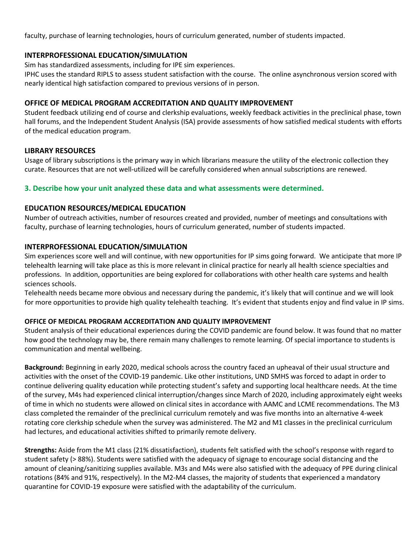faculty, purchase of learning technologies, hours of curriculum generated, number of students impacted.

#### **INTERPROFESSIONAL EDUCATION/SIMULATION**

Sim has standardized assessments, including for IPE sim experiences.

IPHC uses the standard RIPLS to assess student satisfaction with the course. The online asynchronous version scored with nearly identical high satisfaction compared to previous versions of in person.

# **OFFICE OF MEDICAL PROGRAM ACCREDITATION AND QUALITY IMPROVEMENT**

Student feedback utilizing end of course and clerkship evaluations, weekly feedback activities in the preclinical phase, town hall forums, and the Independent Student Analysis (ISA) provide assessments of how satisfied medical students with efforts of the medical education program.

#### **LIBRARY RESOURCES**

Usage of library subscriptions is the primary way in which librarians measure the utility of the electronic collection they curate. Resources that are not well-utilized will be carefully considered when annual subscriptions are renewed.

# **3. Describe how your unit analyzed these data and what assessments were determined.**

# **EDUCATION RESOURCES/MEDICAL EDUCATION**

Number of outreach activities, number of resources created and provided, number of meetings and consultations with faculty, purchase of learning technologies, hours of curriculum generated, number of students impacted.

# **INTERPROFESSIONAL EDUCATION/SIMULATION**

Sim experiences score well and will continue, with new opportunities for IP sims going forward. We anticipate that more IP telehealth learning will take place as this is more relevant in clinical practice for nearly all health science specialties and professions. In addition, opportunities are being explored for collaborations with other health care systems and health sciences schools.

Telehealth needs became more obvious and necessary during the pandemic, it's likely that will continue and we will look for more opportunities to provide high quality telehealth teaching. It's evident that students enjoy and find value in IP sims.

# **OFFICE OF MEDICAL PROGRAM ACCREDITATION AND QUALITY IMPROVEMENT**

Student analysis of their educational experiences during the COVID pandemic are found below. It was found that no matter how good the technology may be, there remain many challenges to remote learning. Of special importance to students is communication and mental wellbeing.

**Background:** Beginning in early 2020, medical schools across the country faced an upheaval of their usual structure and activities with the onset of the COVID-19 pandemic. Like other institutions, UND SMHS was forced to adapt in order to continue delivering quality education while protecting student's safety and supporting local healthcare needs. At the time of the survey, M4s had experienced clinical interruption/changes since March of 2020, including approximately eight weeks of time in which no students were allowed on clinical sites in accordance with AAMC and LCME recommendations. The M3 class completed the remainder of the preclinical curriculum remotely and was five months into an alternative 4-week rotating core clerkship schedule when the survey was administered. The M2 and M1 classes in the preclinical curriculum had lectures, and educational activities shifted to primarily remote delivery.

**Strengths:** Aside from the M1 class (21% dissatisfaction), students felt satisfied with the school's response with regard to student safety (> 88%). Students were satisfied with the adequacy of signage to encourage social distancing and the amount of cleaning/sanitizing supplies available. M3s and M4s were also satisfied with the adequacy of PPE during clinical rotations (84% and 91%, respectively). In the M2-M4 classes, the majority of students that experienced a mandatory quarantine for COVID-19 exposure were satisfied with the adaptability of the curriculum.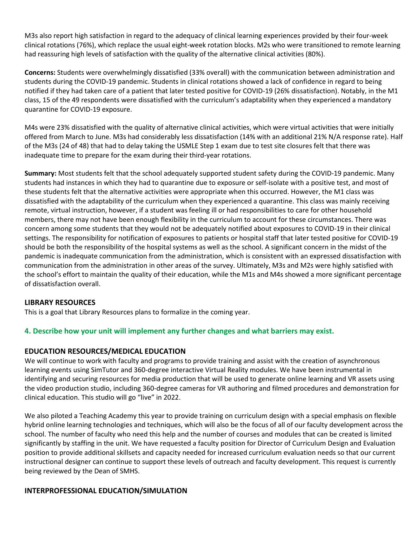M3s also report high satisfaction in regard to the adequacy of clinical learning experiences provided by their four-week clinical rotations (76%), which replace the usual eight-week rotation blocks. M2s who were transitioned to remote learning had reassuring high levels of satisfaction with the quality of the alternative clinical activities (80%).

**Concerns:** Students were overwhelmingly dissatisfied (33% overall) with the communication between administration and students during the COVID-19 pandemic. Students in clinical rotations showed a lack of confidence in regard to being notified if they had taken care of a patient that later tested positive for COVID-19 (26% dissatisfaction). Notably, in the M1 class, 15 of the 49 respondents were dissatisfied with the curriculum's adaptability when they experienced a mandatory quarantine for COVID-19 exposure.

M4s were 23% dissatisfied with the quality of alternative clinical activities, which were virtual activities that were initially offered from March to June. M3s had considerably less dissatisfaction (14% with an additional 21% N/A response rate). Half of the M3s (24 of 48) that had to delay taking the USMLE Step 1 exam due to test site closures felt that there was inadequate time to prepare for the exam during their third-year rotations.

**Summary:** Most students felt that the school adequately supported student safety during the COVID-19 pandemic. Many students had instances in which they had to quarantine due to exposure or self-isolate with a positive test, and most of these students felt that the alternative activities were appropriate when this occurred. However, the M1 class was dissatisfied with the adaptability of the curriculum when they experienced a quarantine. This class was mainly receiving remote, virtual instruction, however, if a student was feeling ill or had responsibilities to care for other household members, there may not have been enough flexibility in the curriculum to account for these circumstances. There was concern among some students that they would not be adequately notified about exposures to COVID-19 in their clinical settings. The responsibility for notification of exposures to patients or hospital staff that later tested positive for COVID-19 should be both the responsibility of the hospital systems as well as the school. A significant concern in the midst of the pandemic is inadequate communication from the administration, which is consistent with an expressed dissatisfaction with communication from the administration in other areas of the survey. Ultimately, M3s and M2s were highly satisfied with the school's effort to maintain the quality of their education, while the M1s and M4s showed a more significant percentage of dissatisfaction overall.

# **LIBRARY RESOURCES**

This is a goal that Library Resources plans to formalize in the coming year.

# **4. Describe how your unit will implement any further changes and what barriers may exist.**

#### **EDUCATION RESOURCES/MEDICAL EDUCATION**

We will continue to work with faculty and programs to provide training and assist with the creation of asynchronous learning events using SimTutor and 360-degree interactive Virtual Reality modules. We have been instrumental in identifying and securing resources for media production that will be used to generate online learning and VR assets using the video production studio, including 360-degree cameras for VR authoring and filmed procedures and demonstration for clinical education. This studio will go "live" in 2022.

We also piloted a Teaching Academy this year to provide training on curriculum design with a special emphasis on flexible hybrid online learning technologies and techniques, which will also be the focus of all of our faculty development across the school. The number of faculty who need this help and the number of courses and modules that can be created is limited significantly by staffing in the unit. We have requested a faculty position for Director of Curriculum Design and Evaluation position to provide additional skillsets and capacity needed for increased curriculum evaluation needs so that our current instructional designer can continue to support these levels of outreach and faculty development. This request is currently being reviewed by the Dean of SMHS.

#### **INTERPROFESSIONAL EDUCATION/SIMULATION**